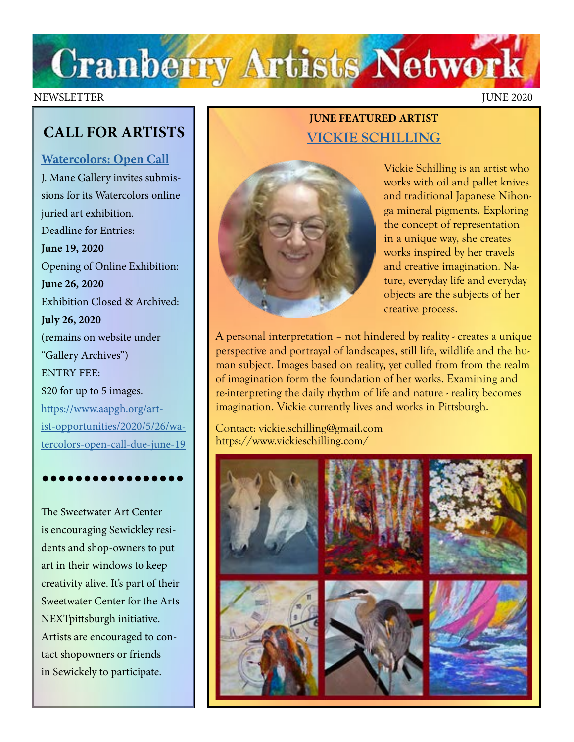

### NEWSLETTER JUNE 2020

## **CALL FOR ARTISTS**

### **[Watercolors: Open Call](https://www.aapgh.org/artist-opportunities/2020/5/26/watercolors-open-call-due-june-19)**

J. Mane Gallery invites submissions for its Watercolors online juried art exhibition. Deadline for Entries: **June 19, 2020** Opening of Online Exhibition: **June 26, 2020**  Exhibition Closed & Archived: **July 26, 2020** (remains on website under "Gallery Archives") ENTRY FEE: \$20 for up to 5 images. [https://www.aapgh.org/art](https://www.aapgh.org/artist-opportunities/2020/5/26/watercolors-open-call-due-june-19)[ist-opportunities/2020/5/26/wa](https://www.aapgh.org/artist-opportunities/2020/5/26/watercolors-open-call-due-june-19)[tercolors-open-call-due-june-19](https://www.aapgh.org/artist-opportunities/2020/5/26/watercolors-open-call-due-june-19)

## •••••••••••••••••

The Sweetwater Art Center is encouraging Sewickley residents and shop-owners to put art in their windows to keep creativity alive. It's part of their Sweetwater Center for the Arts NEXTpittsburgh initiative. Artists are encouraged to contact shopowners or friends in Sewickely to participate.

### **JUNE FEATURED ARTIST [VICKIE SCHILLING](https://www.vickieschilling.com/)**



Vickie Schilling is an artist who works with oil and pallet knives and traditional Japanese Nihonga mineral pigments. Exploring the concept of representation in a unique way, she creates works inspired by her travels and creative imagination. Nature, everyday life and everyday objects are the subjects of her creative process.

A personal interpretation – not hindered by reality - creates a unique perspective and portrayal of landscapes, still life, wildlife and the human subject. Images based on reality, yet culled from from the realm of imagination form the foundation of her works. Examining and re-interpreting the daily rhythm of life and nature - reality becomes imagination. Vickie currently lives and works in Pittsburgh.

Contact: vickie.schilling@gmail.com https://www.vickieschilling.com/

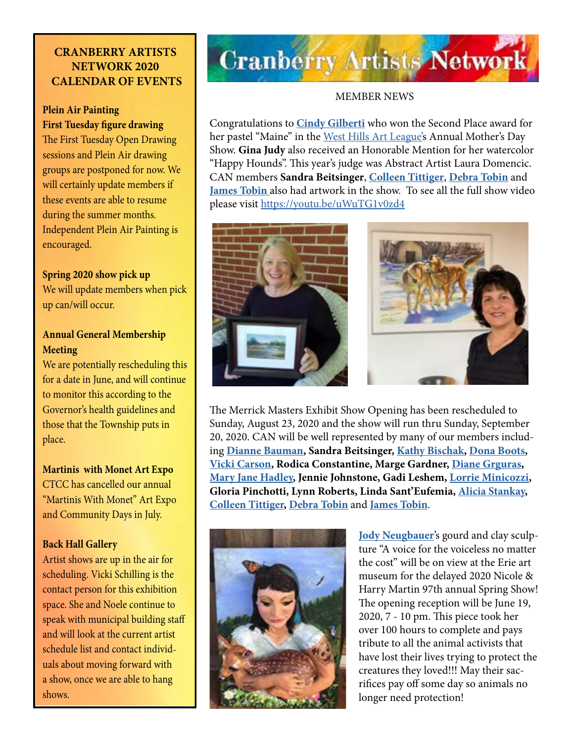### **CRANBERRY ARTISTS NETWORK 2020 CALENDAR OF EVENTS**

### **Plein Air Painting First Tuesday figure drawing**

The First Tuesday Open Drawing sessions and Plein Air drawing groups are postponed for now. We will certainly update members if these events are able to resume during the summer months. Independent Plein Air Painting is encouraged.

### **Spring 2020 show pick up**

We will update members when pick up can/will occur.

### **Annual General Membership Meeting**

We are potentially rescheduling this for a date in June, and will continue to monitor this according to the Governor's health guidelines and those that the Township puts in place.

**Martinis with Monet Art Expo** CTCC has cancelled our annual "Martinis With Monet" Art Expo and Community Days in July.

### **Back Hall Gallery**

Artist shows are up in the air for scheduling. Vicki Schilling is the contact person for this exhibition space. She and Noele continue to speak with municipal building staff and will look at the current artist schedule list and contact individuals about moving forward with a show, once we are able to hang shows.

# **Cranberry Artists Network**

### MEMBER NEWS

Congratulations to **[Cindy Gilberti](http://gilbertifineart.com/)** who won the Second Place award for her pastel "Maine" in the [West Hills Art League's](http://westhillsartleague.com/) Annual Mother's Day Show. **Gina Judy** also received an Honorable Mention for her watercolor "Happy Hounds". This year's judge was Abstract Artist Laura Domencic. CAN members **Sandra Beitsinger**, **[Colleen Tittiger](https://www.colleentittiger.com/)**, **[Debra Tobin](http://www.debratobinart.com/)** and **[James Tobin](https://jamestobinart.com/)** also had artwork in the show. To see all the full show video please visit<https://youtu.be/uWuTG1v0zd4>





The Merrick Masters Exhibit Show Opening has been rescheduled to Sunday, August 23, 2020 and the show will run thru Sunday, September 20, 2020. CAN will be well represented by many of our members including **[Dianne Bauman,](http://www.diannebauman.com/) Sandra Beitsinger, [Kathy Bischak](https://www.facebook.com/kathy.bischak), [Dona Boots](https://blogger.donabootsart.com/2019/01/welcome-to-dona-boots-art.html), [Vicki Carson](https://fineartamerica.com/profiles/vicki-carson/shop/prints), Rodica Constantine, Marge Gardner, [Diane Grguras](https://www.dianegrguras.com/), [Mary Jane Hadley](https://www.facebook.com/maryjane.hadley), Jennie Johnstone, Gadi Leshem, [Lorrie Minicozzi](https://www.climbingthewalls.net/), Gloria Pinchotti, Lynn Roberts, Linda Sant'Eufemia, [Alicia Stankay](https://www.facebook.com/alicia.stankay), [Colleen Tittiger,](https://www.colleentittiger.com/) [Debra Tobin](http://debratobinart.com)** and **[James Tobin](https://jamestobinart.com/)**.



**[Jody Neugbauer](https://dream-queststudio.blogspot.com/?fbclid=IwAR2L-mIUVLAwfpQukdMCF_jsua6VYy_GiNMtUazr3nRUiD8Lo9bxdijH6Jo)**'s gourd and clay sculpture "A voice for the voiceless no matter the cost" will be on view at the Erie art museum for the delayed 2020 Nicole & Harry Martin 97th annual Spring Show! The opening reception will be June 19, 2020, 7 - 10 pm. This piece took her over 100 hours to complete and pays tribute to all the animal activists that have lost their lives trying to protect the creatures they loved!!! May their sacrifices pay off some day so animals no longer need protection!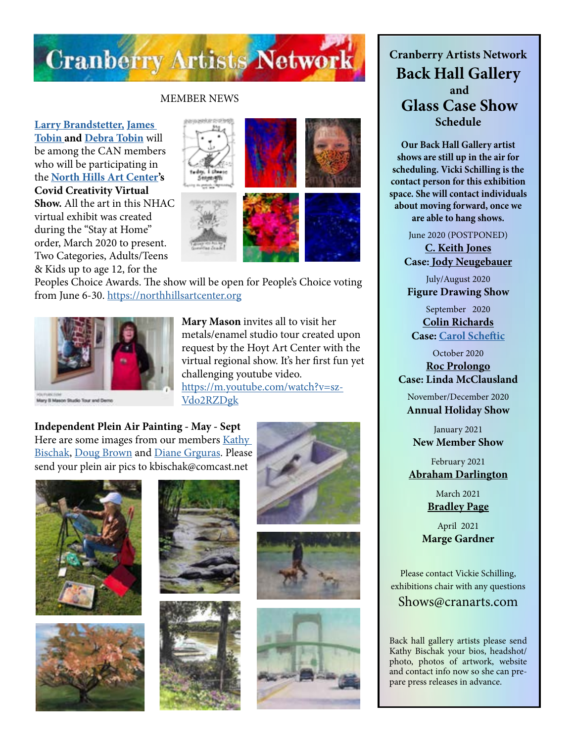

### MEMBER NEWS

**[Larry Brandstetter,](https://www.facebook.com/pages/category/Artist/Larry-Brandstetter-Doodler-379832832491777/) [James](http://jamestobinart.com)  [Tobin a](http://jamestobinart.com)nd [Debra Tobin](http://debratobinart.com)** will be among the CAN members who will be participating in the **[North Hills Art Center'](https://northhillsartcenter.org/)s Covid Creativity Virtual Show.** All the art in this NHAC virtual exhibit was created during the "Stay at Home" order, March 2020 to present. Two Categories, Adults/Teens & Kids up to age 12, for the









Peoples Choice Awards. The show will be open for People's Choice voting from June 6-30. [https://northhillsartcenter.org](https://northhillsartcenter.org/)



Mary II Mason Studio Tour and Dem

**Mary Mason** invites all to visit her metals/enamel studio tour created upon request by the Hoyt Art Center with the virtual regional show. It's her first fun yet challenging youtube video. [https://m.youtube.com/watch?v=sz-](https://m.youtube.com/watch?v=szVdo2RZDgk
)[Vdo2RZDgk](https://m.youtube.com/watch?v=szVdo2RZDgk
)

**Independent Plein Air Painting - May - Sept**  Here are some images from our members [Kathy](https://www.facebook.com/kathy.bischak)  [Bischak](https://www.facebook.com/kathy.bischak), [Doug Brown](https://www.facebook.com/profile.php?id=100000432947086) and [Diane Grguras](https://www.dianegrguras.com/). Please send your plein air pics to kbischak@comcast.net















**Cranberry Artists Network Back Hall Gallery and Glass Case Show Schedule** 

**Our Back Hall Gallery artist shows are still up in the air for scheduling. Vicki Schilling is the contact person for this exhibition space. She will contact individuals about moving forward, once we are able to hang shows.**

June 2020 (POSTPONED)

**[C. Keith Jones](http://ckeithjonesartist.com/) Case: [Jody Neugebauer](https://dream-queststudio.blogspot.com/)**

July/August 2020 **Figure Drawing Show**

September 2020 **[Colin Richards](https://www.colinrichardsart.com/) Case: [Carol Scheftic](http://convergentseries.com/)**

October 2020 **[Roc Prolongo](https://www.rocprologo.com/) Case: Linda McClausland**

November/December 2020 **Annual Holiday Show**

January 2021 **New Member Show**

February 2021 **[Abraham Darlington](https://www.facebook.com/abraham.darlington)**

> March 2021 **[Bradley Page](https://fireandfumes.com/)**

April 2021 **Marge Gardner**

Please contact Vickie Schilling, exhibitions chair with any questions

Shows@cranarts.com

Back hall gallery artists please send Kathy Bischak your bios, headshot/ photo, photos of artwork, website and contact info now so she can prepare press releases in advance.